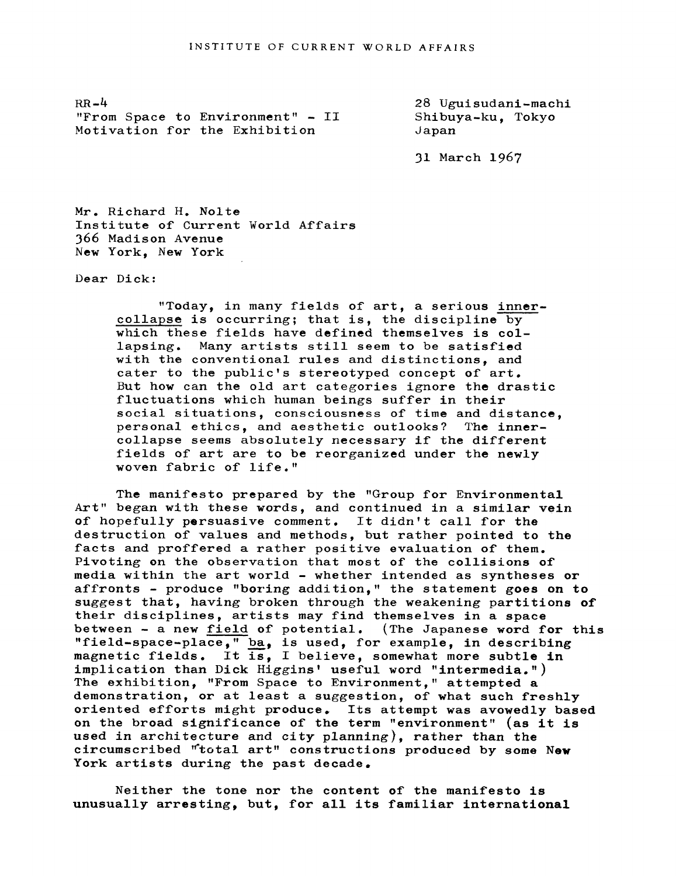$RB-4$ "From Space to Environment" - II Motivation for the Exhibition

28 Ugui sudani-machi Shibuya-ku, Tokyo Japan

31 March 1967

Mr. Richard H. Nolte Institute of Current World Affairs 366 Madison Avenue New York, New York

Dear Dick

"Today, in many fields of art, a serious innercollapse is occurring; that is, the discipline by which these fields have defined themselves is collapsing. Many artists still seem to be satisfied with the conventional rules and distinctions, and cater to the public's stereotyped concept of art. But how can the old art categories ignore the drastic fluctuations which human beings suffer in their social situations, consciousness of time and distance, personal ethics, and aesthetic outlooks? The innercollapse seems absolutely necessary if the different fields of art are to be reorganized under the newly woven fabric of life."

The manifesto prepared by the "Group for Environmental Art" began with these words, and continued in a similar vein of hopefully persuasive comment. It didn't call for the destruction of values and methods, but rather pointed to the facts and proffered a rather positive evaluation of them. Pivoting on the observation that most of the collisions of media within the art world - whether intended as syntheses or affronts - produce "boring addition," the statement goes on to suggest that, having broken through the weakening partitions of their disciplines, artists may find themselves in a space between - a new field of potential. (The Japanese word for this "field-space-place," ba, is used, for example, in describing magnetic fields. It is, I believe, somewhat more subtle in implication than Dick Higgins' useful word "intermedia.") The exhibition, "From Space to Environment," attempted a demonstration, or at least a suggestion, of what such freshly oriented efforts might produce. Its attempt was avowedly based on the broad significance of the term "environment" (as it is used in architecture and city planning), rather than the circumscribed "total art" constructions produced by some New York artists during the past decade.

Neither the tone nor the content of the manifesto is unusually arresting, but, for all its familiar international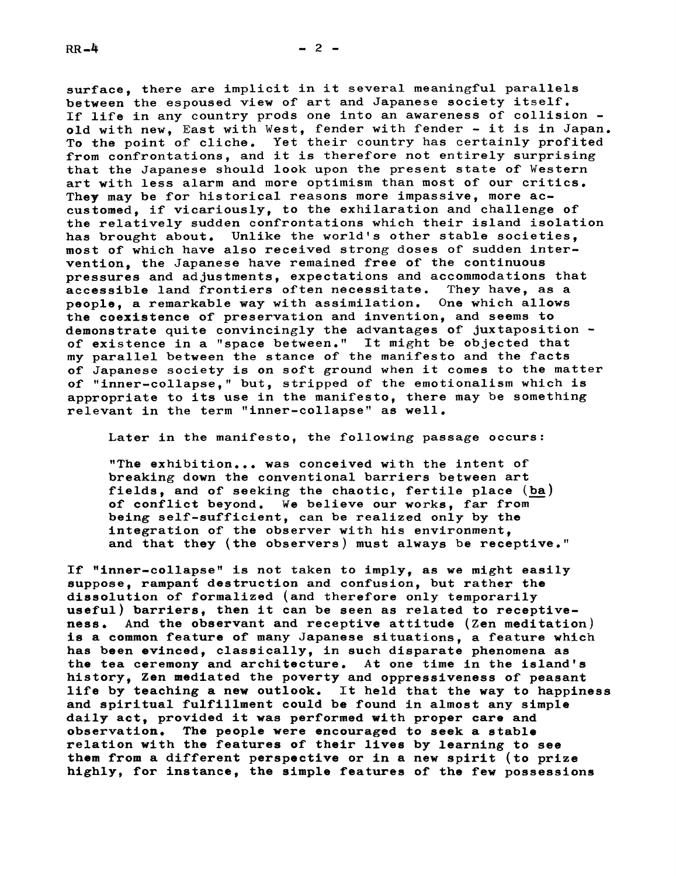surface, there are implicit in it several meaningful parallels between the espoused view of art and Japanese society itself. If life in any country prods one into an awareness of collision old with new, East with West, fender with fender - it is in Japan. To the point of cliche. Yet their country has certainly profited from confrontations, and it is therefore not entirely surprising that the Japanese should look upon the present state of Western art with less alarm and more optimism than most of our critics. They may be for historical reasons more impassive, more accustomed, if vicariously, to the exhilaration and challenge of the relatively sudden confrontations which their island isolation has brought about. Unlike the world's other stable societies, most of which have also received strong doses of sudden intervention, the Japanese have remained free of the continuous pressures and adjustments, expectations and accommodations that accessible land frontiers often necessitate. They have, as a people, a remarkable Way with assimilation. One which allows the coexistence of preservation and invention, and seems to demonstrate quite convincingly the advantages of juxtapositionof existence in a "space between." It might be objected that my parallel between the stance of the manifesto and the facts of Japanese society is on soft ground when it comes to the matter of "inner-collapse," but, stripped of the emotionalism which is appropriate to its use in the manifesto, there may be something relevant in the term "inner-collapse" as well.

Later in the manifesto, the following passage occurs:

"The exhibition.., was conceived with the intent of breaking down the conventional barriers between art fields, and of seeking the chaotic, fertile place  $(ba)$ of conflict beyond. We believe our works, far from being self-sufficient, can be realized only by the integration of the observer with his environment, and that they (the observers) must always be receptive."

If "inner-collapse" is not taken to imply, as we might easily suppose, rampant destruction and confusion, but rather the dissolution of formalized (and therefore only temporarily useful) barriers, then it can be seen as related to receptiveness. And the observant and receptive attitude (Zen meditation) is a common feature of many Japanese situations, a feature which has been evinced, classically, in such disparate phenomena as the tea ceremony and architecture. At one time in the island's history, Zen mediated the poverty and oppressiveness of peasant life by teaching a new outlook. It held that the way to happiness and spiritual fulfillment could be found in almost any simple daily act, provided it was performed with proper care and observation. The people were encouraged to seek a stable relation with the features of their lives by learning to see them from a different perspective or in a new spirit (to prize highly, for instance, the simple features of the few possessions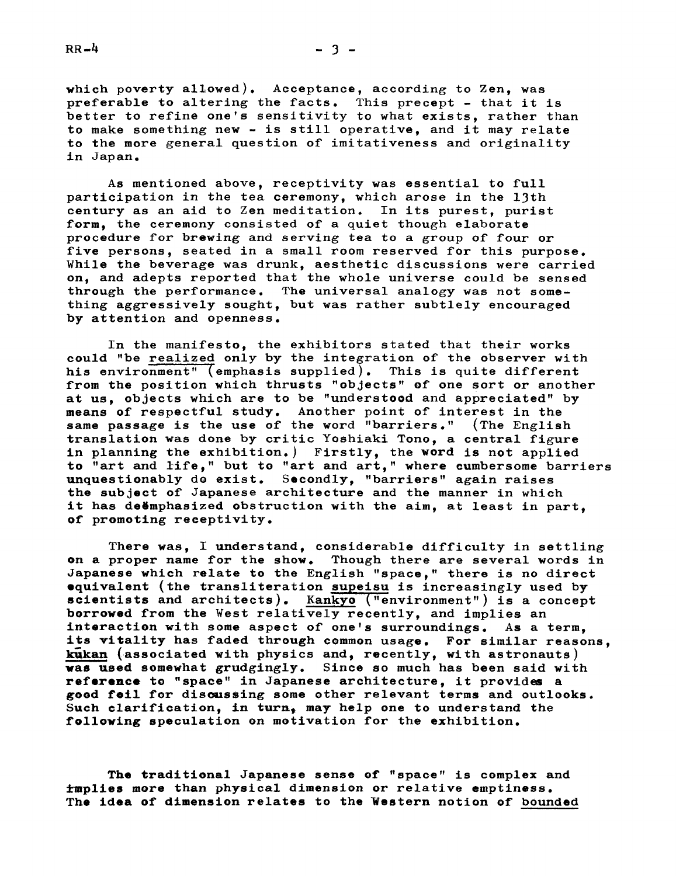which poverty allowed). Acceptance, according to Zen, was preferable to altering the facts. This precept - that it is better to refine one's sensitivity to what exists, rather than to make something new - is still operative, and it may relate to the more eneral question of imitativeness and originality in Japan.

As mentioned above, receptivity was essential to full participation in the tea ceremony, which arose in the 13th century as an aid to Zen meditation. In its purest, purist form, the ceremony consisted of a quiet though elaborate procedure for brewing and serving tea to a group of four or five persons, seated in a small room reserved for this purpose. While the beverage was drunk, aesthetic discussions were carried on, and adepts reported that the whole universe could be sensed through the performance. The universal analogy was not something aggressively sought, but was rather subtlely encouraged by attention and openness.

In the manifesto, the exhibitors stated that their works could "be realized only by the integration of the observer with his environment" (emphasis supplied). This is quite different from the position which thrusts "objects" of one sort or another at us, objects which are to be "understood and appreciated" by means of respectful study. Another point of interest in the same passage is the use of the word "barriers." (The English translation was done by critic Yoshiaki Tono, a central figure in planning the exhibition.) Firstly, the word is not applied to "art and life," but to "art and art," where cumbersome barriers unquestionably do exist. Secondly, "barriers" again raises the subject of Japanese architecture and the manner in which it has deëmphasized obstruction with the aim, at least in part. of promoting receptivity.

There was, I understand, considerable difficulty in settling on a proper name for the show. Though there are several words in Japanese which relate to the English "space," there is no direct equivalent (the transliteratlon supeisu is increasingly used by scientists and architects). Kankyo  $("environment")$  is a concept borrowed from the West relatively recently, and implies an interaction with some aspect of one's surroundings. As a term, its vitality has faded through common usage. For similar reasons,  $k$  $ukan$  (associated with physics and, recently, with astronauts) was used somewhat grudgingly. Since so much has been said with reference to "space" in Japanese architecture, it provides a good foil for discussing some other relevant terms and outlooks. Such clarification, in turn, may help one to understand the following speculation on motivation for the exhibition.

The traditional Japanese sense of "spaoe" is complex and irplles more than physical dimension or relative emptiness. The idea of dimension relates to the Western notion of bounded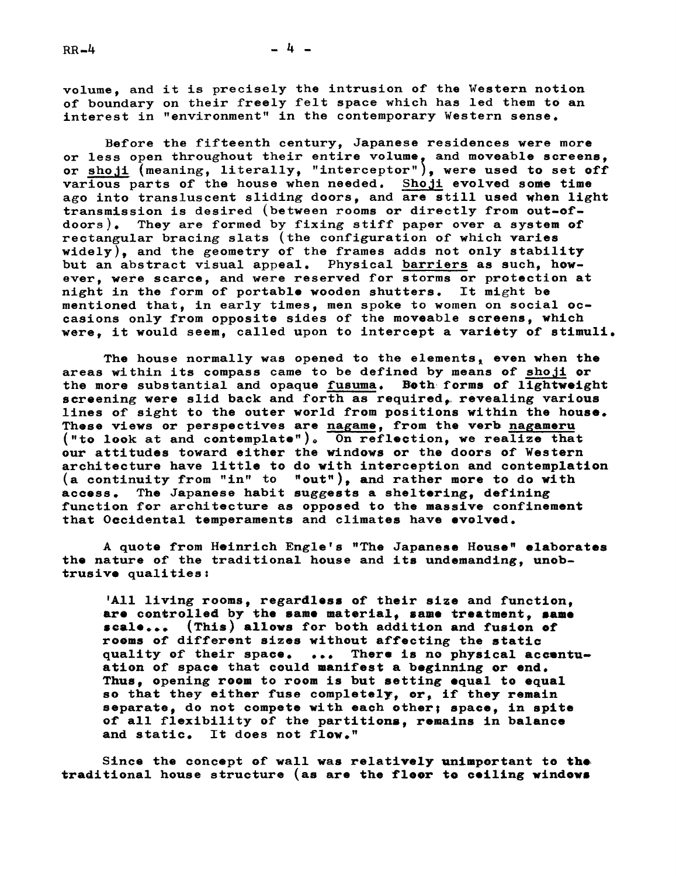volume, and it is precisely the intrusion of the Western notion of boundary on their freely felt space which has led them to an interest in "environment" in the contemporary Western sense.

Before the fifteenth century, Japanese residences were more or less open throughout their entire volume, and moveable screens, or  $\overline{{\rm shoji}}$  (meaning, literally, "interceptor"), were used to set off various parts of the house when needed. Shoji evolved some time ago into transluscent sliding doors, and are still used when light transmission is desired (between rooms or directly from out-ofdoors). They are formed by fixing stiff paper over a system of rectangular bracing slats (the configuration of which varies widely), and the geometry of the frames adds not only stability but an abstract visual appeal. Physical barriers as such, however, were scarce, and were reserved for storms or protection at night in the form of portable wooden shutters. It might be mentioned that, in early times, men spoke to women on social occasions only from opposite sides of the moveable screens, which were, it would seem, called upon to intercept a variety of stimuli.

The house normally was opened to the elements, even when the areas within its compass came to be defined by means of shoji or the more substantial and opaque fusuma. Both forms of lightweight screening were slid back and forth as required, revealing various lines of sight to the outer world from positions within the house. These views or perspectives are nagame, from the verb nagameru ("to look at and contemplate"). On reflection, we realize that our attitudes toward either the windows or the doors of Western architecture have little to do with interception and contemplation (a continuity from "in" to "out"), and rather more to do with access. The Japanese habit suggests a sheltering, defining function for architecture as opposed to the massive confinement that Occidental temperaments and climates have evolved.

A quote from Heinrich Engle's "The Japanese House" elaborates the nature of the traditional house and its undemanding, unobtrusive qualities:

'All living rooms, regardless of their size and function, are controlled by the same material, same treatment, same scale... (This) allows for both addition and fusion of rooms of different sizes without affecting the static quality of their space. ... There is no physical accentuation of space that could manifest a beginning or end. Thus, opening room to room is but setting equal to equal so that they either fuse completely, or, if they remain separate, do not compete with each other; space, in spite of all flexibility of the partitions. remains in balance and static. It does not flow."

Since the concept of wall was relatively unimportant to the, traditional house structure (as are the fleer to ceiling windows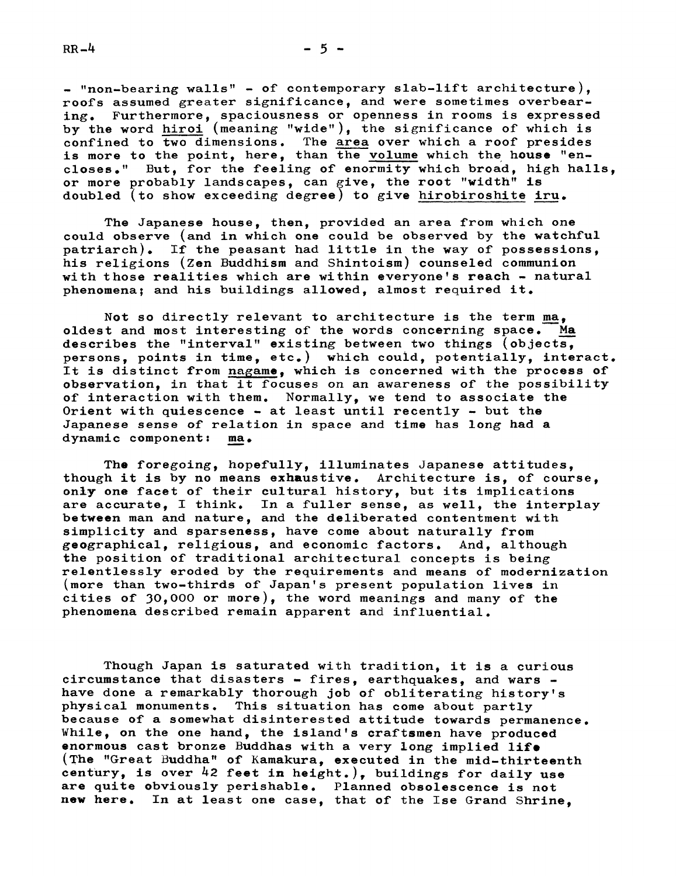$-$  "non-bearing walls" - of contemporary slab-lift architecture), roofs assumed greater significance, and were sometimes overbearing. Furthermore, spaciousness or openness in rooms is expressed by the word hiroi (meaning "wide"), the significance of which is confined to two dimensions. The area over which a roof presides is more to the point, here, than the volume which the house "encloses." But, for the feeling of enormity which broad, high halls, or more probably landscapes, can give, the root "width" is doubled (to show exceeding degree) to give hirobiroshite iru.

The Japanese house, then, provided an area from which one could observe (and in which one could be observed by the watchful patriarch). If the peasant had little in the way of possessions, his religions (Zen Buddhism and Shintoism) counseled communion with those realities which are within everyone's reach - natural phenomena; and his buildings allowed, almost required it.

Not so directly relevant to architecture is the term  $ma_a$ oldest and most interesting of the words concerning space. Ma describes the "interval" existing between two things (objects. persons, points in time, etc.) which could, potentially, interact. It is distinct from agame, which is concerned with the process of observation, in that it focuses on an awareness of the possibility of interaction with them. Normally, we tend to associate the Orient with quiescence  $-$  at least until recently  $-$  but the Japanese sense of relation in space and time has long had a dynamic component: ma.

The foregoing, hopefully, illuminates Japanese attitudes, though it is by no means exhaustive. Architecture is, of Course, only one facet of their cultural history, but its implications are accurate, I think. In a fuller sense, as well, the interplay between man and nature, and the deliberated contentment with simplicity and sparseness, have come about naturally from geographical, religious, and economic factors. And, although the position of traditional architectural concepts is being relentlessly eroded by the requirements and means of modernization (more than two-thirds of Japan's present population lives in cities of 30,000 or more), the word meanings and many of the phenomena described remain apparent and influential.

Though Japan is saturated with tradition, it is a curious circumstance that disasters  $-$  fires, earthquakes, and wars  $$ have done a remarkably thorough job of obliterating history's physical monuments. This situation has come about partly because of a somewhat disinterested attitude towards permanence. While, on the one hand, the island's craftsmen have produced enormous cast bronze Buddhas with a very long implied life (The "Great Buddha" of Kamakura, executed in the mid-thirteenth century, is over  $42$  feet in height.), buildings for daily use are quite obviously perishable. Planned obsolescence is not new here. In at least one case, that of the Ise Grand Shrine,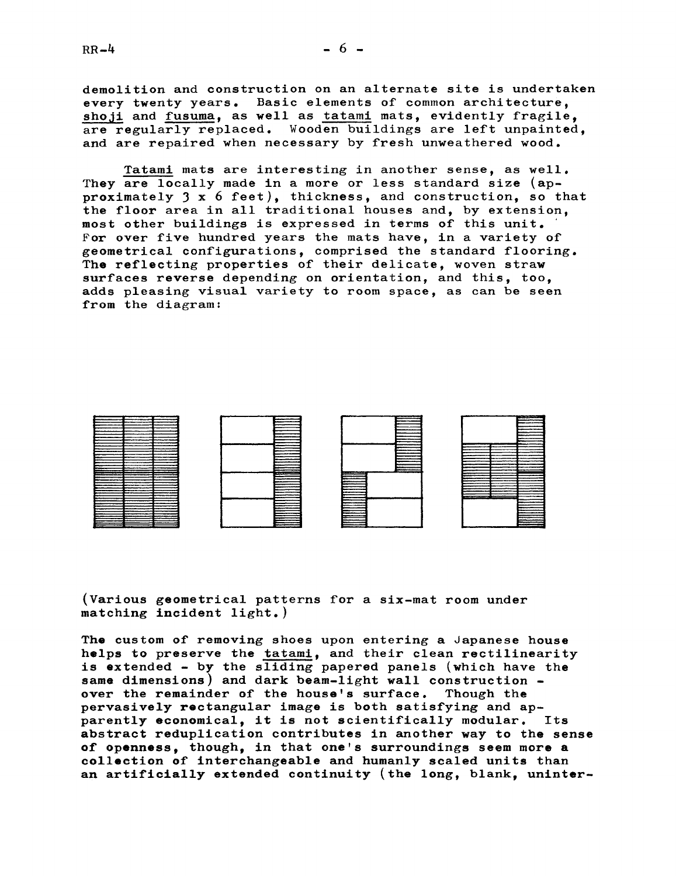demolition and construction on an alternate site is undertaken every twenty years. Basic elements of common architecture, shoji and fusuma, as well as tatami mats, evidently fragile, are regularly replaced. Wooden buildings are left unpainted, and are repaired when necessary by fresh unweathered wood.

Tatami mats are interesting in another sense, as well. They are locally made in a more or less standard size (approximately 3 x 6 feet), thickness, and construction, so that the floor area in all traditional houses and, by extension, most other buildings is expressed in terms of this unit. For over five hundred years the mats have, in a variety of geometrical configurations, comprised the standard flooring. The reflecting properties of their delicate, woven straw surfaces reverse depending on orientation, and this, too, adds pleasing visual variety to room space, as can be seen from the diagram:



(Various geometrical patterns for a six-mat room under matching incident light.)

The custom of removing shoes upon entering a Japanese house helps to preserve the tatami, and their clean rectilinearity is extended - by the sliding papered panels (which have the same dimensions) and dark beam-light wall construction over the remainder of the house's surface. Though the pervasively rectangular image is both satisfying and apparently economical, it is not scientifically modular. Its abstract reduplication contributes in another way to the sense of openness, though, in that one's surroundings seem more a collection of interchangeable and humanly scaled units than an artificially extended continuity (the long, blank, uninter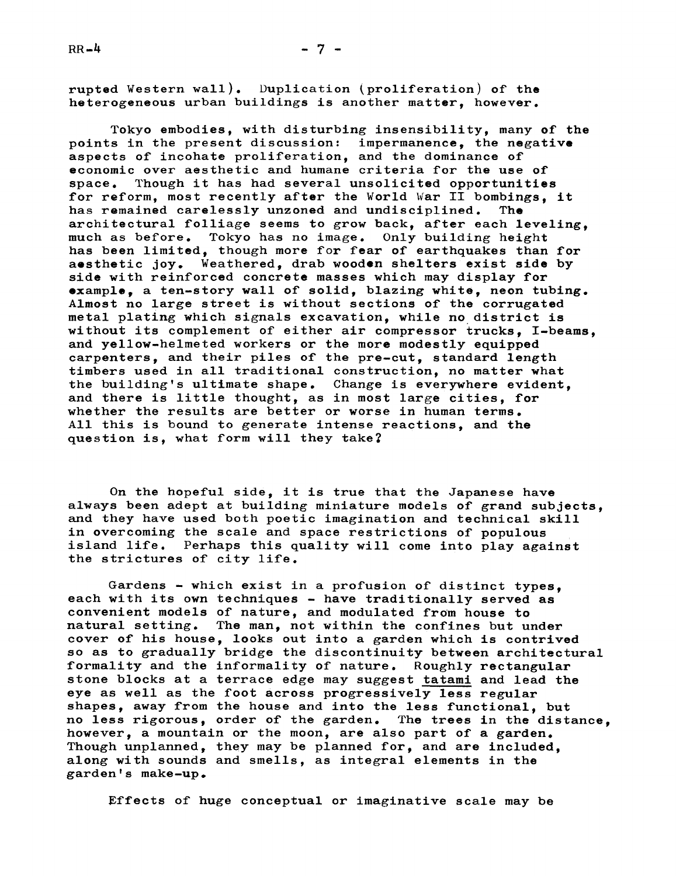rupted Western wall). Duplication (proliferation) of the heterogeneous urban buildings is another matter, however.

Tokyo embodies, with disturbing insensibility, many of the points in the present discussion: impermanence, the negative aspects of incohate proliferation, and the dominance of economic over aesthetic and humane criteria for the use of space. Though it has had several unsolicited opportunities for reform, most recently after the World War II bombings, it has remained carelessly unzoned and undisciplined. The has remained carelessly unzoned and undisciplined. architectural folliage seems to grow back, after each leveling, much as before. Tokyo has no image. 0nly building height has been limited, though more for fear of earthquakes than for aesthetic joy. Weathered, drab wooden shelters exist side by side with reinforced concrete masses which may display for example, a ten-story wall of solid, blazing white, neon tubing. Almost no large street is without sections of the corrugated metal plating which signals excavation, while no district is without its complement of either air compressor trucks, I-beams, and yellow-helmeted workers or the more modestly equipped carpenters, and their piles of the pre-cut, standard length timbers used in all traditional construction, no matter what the building's ultimate shape. Change is everywhere evident, and there is little thought, as in most large cities, for whether the results are better or worse in human terms. All this is bound to generate intense reactions, and the question is, what form will they take?

On the hopeful side, it is true that the Japanese have always been adept at building miniature models of grand subjects, and they have used both poetic imagination and technical skill in overcoming the scale and space restrictions of populous island life. Perhaps this quality will come into play against the strictures of city life.

Gardens - which exist in a profusion of distinct types, each with its own techniques - have traditionally served as convenient models of nature, and modulated from house to natural setting. The man, not within the confines but under cover of his house, looks out into a garden which is contrived so as to gradually bridge the discontinuity between architectural formality and the informality of nature. Roughly rectangular stone blocks at a terrace edge may suggest atami and lead the eye as well as the foot across progressively less regular shapes, away from the house and into the less functional, but no less rigorous, order of the garden. The trees in the distance, however, a mountain or the moon, are also part of a garden. Though unplanned, they may be planned for, and are included, along with sounds and smells, as integral elements in the garden's make-up.

Effects of huge conceptual or imaginative scale may be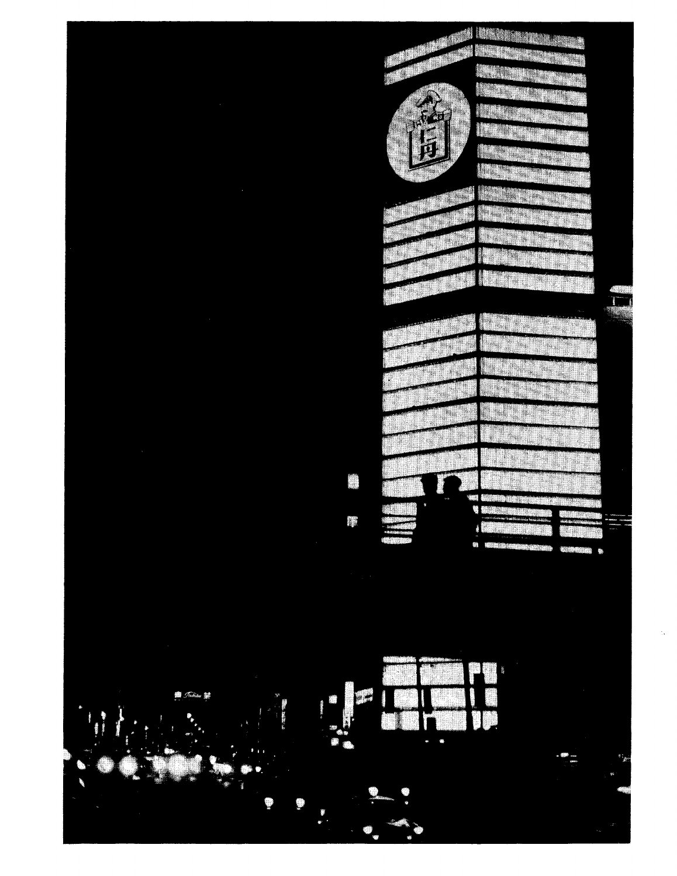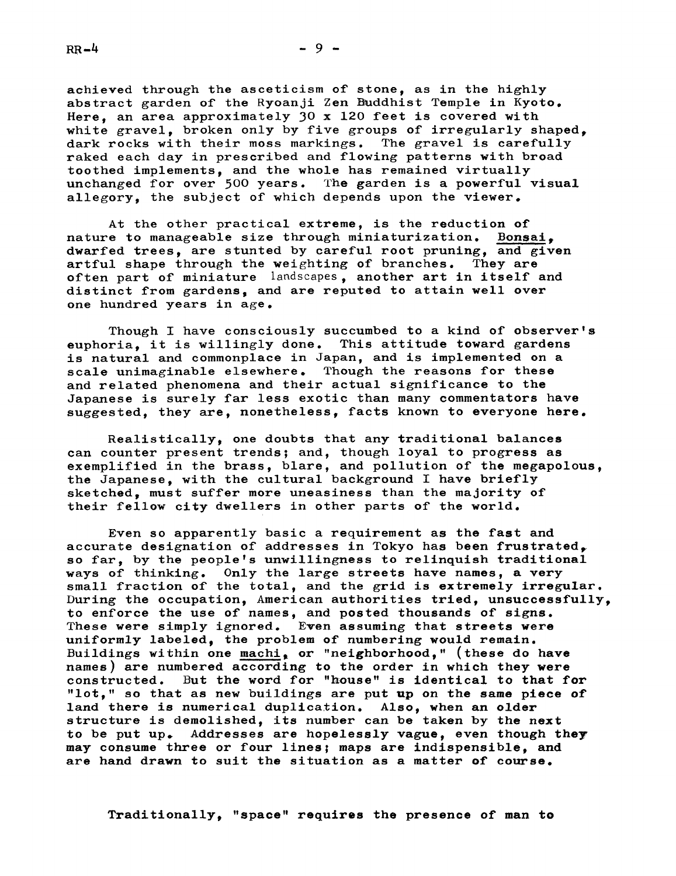$RR-4$ 

achieved through the asceticism of stone, as in the highly abstract garden of the Ryoanji Zen Buddhist Temple in Kyoto. Here, an area approximately 30 x 120 feet is covered with white gravel, broken only by five groups of irregularly shaped, dark rocks with their moss markings. The gravel is carefully raked each day in prescribed and flowing patterns with broad toothed implements, and the whole has remained virtually unchanged for over 500 years. The garden is a powerful visual allegory, the subject of which depends upon the viewer.

At the other practical extreme, is the reduction of nature to manageable size through miniaturization. Bonsai, dwarfed trees, are stunted by careful root pruning, and given artful shape through the weighting of branches. They are often part of miniature landscapes, another art in itself and distinct from gardens, and are reputed to attain well over one hundred years in age.

Though I have consciously succumbed to a kind of observer's euphoria, it is willingly done. This attitude toward gardens is natural and commonplace in Japan, and is implemented on a scale unimaginable elsewhere. Though the reasons for these and related phenomena and their actual significance to the Japanese is surely far less exotic than many commentators have suggested, they are, nonetheless, facts known to everyone here.

Realistically, one doubts that any traditional balances can counter present trends; and, though loyal to progress as exemplified in the brass, blare, and pollution of the megapolous, the Japanese, with the cultural background I have briefly sketched, must suffer more uneasiness than the majority of their fellow city dwellers in other parts of the world.

Even so apparently basic a requirement as the fast and accurate designation of addresses in Tokyo has been frustrated so far, by the people's unwillingness to relinquish traditional ways of thinking. 0nly the large streets have names, a very small fraction of the total, and the grid is extremely irregular. During the occupation, American authorities tried, unsuccessfully, to enforce the use of names, and posted thousands of signs. These were simply ignored. Even assuming that streets were uniformly labeled, the problem of numbering would remain. Buildings within one machi, or "neighborhood," (these do have names) are numbered according to the order in which they were constructed. But the word for "house" is identical to that for "lot," so that as new buildings are put up on the same piece of land there is numerical duplication. Also, when an older structure is demolished, its number can be taken by the next to be put up. Addresses are hopelessly vague, even though they may consume three or four lines; maps are indispensible, and are hand drawn to suit the situation as a matter of course.

Traditionally, "space" requires the presence of man to